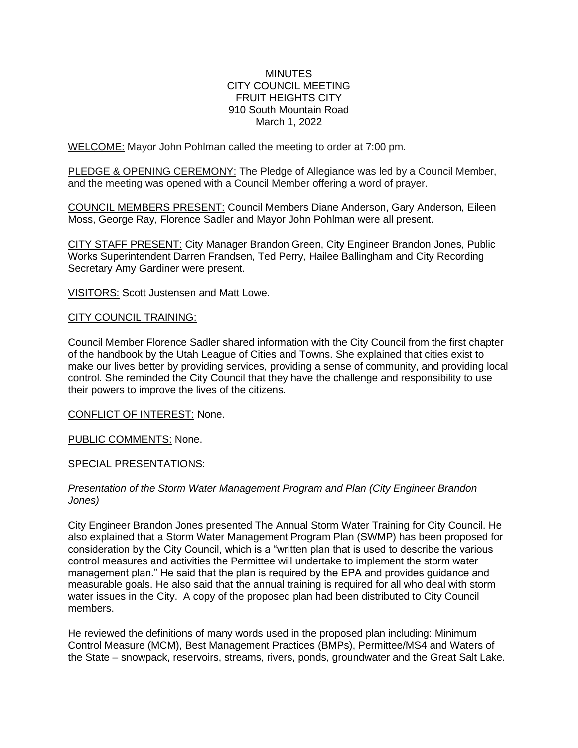## **MINUTES** CITY COUNCIL MEETING FRUIT HEIGHTS CITY 910 South Mountain Road March 1, 2022

WELCOME: Mayor John Pohlman called the meeting to order at 7:00 pm.

PLEDGE & OPENING CEREMONY: The Pledge of Allegiance was led by a Council Member, and the meeting was opened with a Council Member offering a word of prayer.

COUNCIL MEMBERS PRESENT: Council Members Diane Anderson, Gary Anderson, Eileen Moss, George Ray, Florence Sadler and Mayor John Pohlman were all present.

CITY STAFF PRESENT: City Manager Brandon Green, City Engineer Brandon Jones, Public Works Superintendent Darren Frandsen, Ted Perry, Hailee Ballingham and City Recording Secretary Amy Gardiner were present.

VISITORS: Scott Justensen and Matt Lowe.

# CITY COUNCIL TRAINING:

Council Member Florence Sadler shared information with the City Council from the first chapter of the handbook by the Utah League of Cities and Towns. She explained that cities exist to make our lives better by providing services, providing a sense of community, and providing local control. She reminded the City Council that they have the challenge and responsibility to use their powers to improve the lives of the citizens.

CONFLICT OF INTEREST: None.

PUBLIC COMMENTS: None.

## SPECIAL PRESENTATIONS:

# *Presentation of the Storm Water Management Program and Plan (City Engineer Brandon Jones)*

City Engineer Brandon Jones presented The Annual Storm Water Training for City Council. He also explained that a Storm Water Management Program Plan (SWMP) has been proposed for consideration by the City Council, which is a "written plan that is used to describe the various control measures and activities the Permittee will undertake to implement the storm water management plan." He said that the plan is required by the EPA and provides guidance and measurable goals. He also said that the annual training is required for all who deal with storm water issues in the City. A copy of the proposed plan had been distributed to City Council members.

He reviewed the definitions of many words used in the proposed plan including: Minimum Control Measure (MCM), Best Management Practices (BMPs), Permittee/MS4 and Waters of the State – snowpack, reservoirs, streams, rivers, ponds, groundwater and the Great Salt Lake.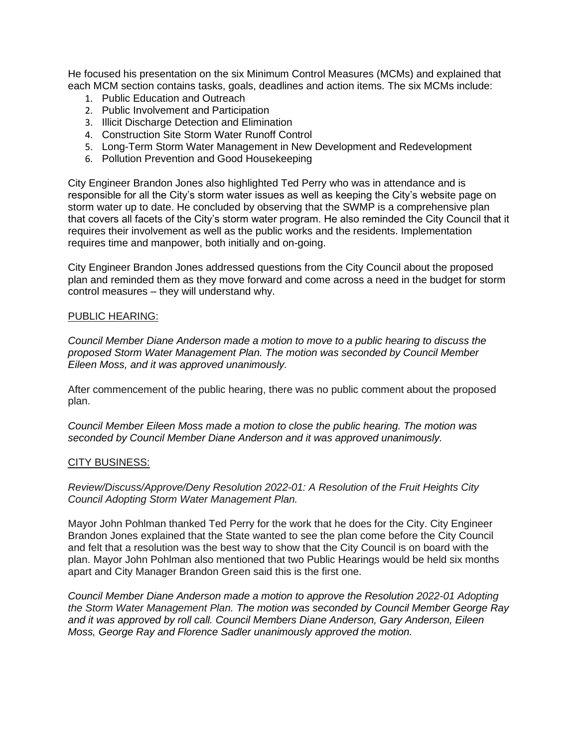He focused his presentation on the six Minimum Control Measures (MCMs) and explained that each MCM section contains tasks, goals, deadlines and action items. The six MCMs include:

- 1. Public Education and Outreach
- 2. Public Involvement and Participation
- 3. Illicit Discharge Detection and Elimination
- 4. Construction Site Storm Water Runoff Control
- 5. Long-Term Storm Water Management in New Development and Redevelopment
- 6. Pollution Prevention and Good Housekeeping

City Engineer Brandon Jones also highlighted Ted Perry who was in attendance and is responsible for all the City's storm water issues as well as keeping the City's website page on storm water up to date. He concluded by observing that the SWMP is a comprehensive plan that covers all facets of the City's storm water program. He also reminded the City Council that it requires their involvement as well as the public works and the residents. Implementation requires time and manpower, both initially and on-going.

City Engineer Brandon Jones addressed questions from the City Council about the proposed plan and reminded them as they move forward and come across a need in the budget for storm control measures – they will understand why.

## PUBLIC HEARING:

*Council Member Diane Anderson made a motion to move to a public hearing to discuss the proposed Storm Water Management Plan. The motion was seconded by Council Member Eileen Moss, and it was approved unanimously.*

After commencement of the public hearing, there was no public comment about the proposed plan.

*Council Member Eileen Moss made a motion to close the public hearing. The motion was seconded by Council Member Diane Anderson and it was approved unanimously.*

## CITY BUSINESS:

*Review/Discuss/Approve/Deny Resolution 2022-01: A Resolution of the Fruit Heights City Council Adopting Storm Water Management Plan.* 

Mayor John Pohlman thanked Ted Perry for the work that he does for the City. City Engineer Brandon Jones explained that the State wanted to see the plan come before the City Council and felt that a resolution was the best way to show that the City Council is on board with the plan. Mayor John Pohlman also mentioned that two Public Hearings would be held six months apart and City Manager Brandon Green said this is the first one.

*Council Member Diane Anderson made a motion to approve the Resolution 2022-01 Adopting the Storm Water Management Plan. The motion was seconded by Council Member George Ray and it was approved by roll call. Council Members Diane Anderson, Gary Anderson, Eileen Moss, George Ray and Florence Sadler unanimously approved the motion.*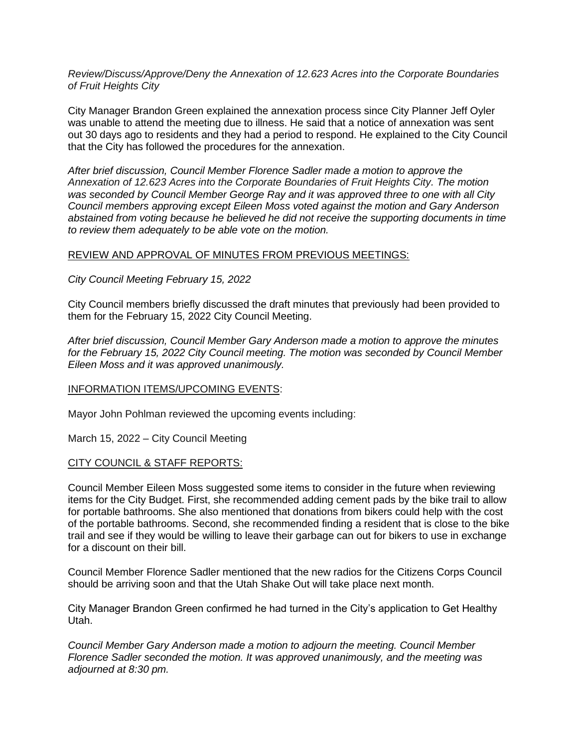*Review/Discuss/Approve/Deny the Annexation of 12.623 Acres into the Corporate Boundaries of Fruit Heights City*

City Manager Brandon Green explained the annexation process since City Planner Jeff Oyler was unable to attend the meeting due to illness. He said that a notice of annexation was sent out 30 days ago to residents and they had a period to respond. He explained to the City Council that the City has followed the procedures for the annexation.

*After brief discussion, Council Member Florence Sadler made a motion to approve the Annexation of 12.623 Acres into the Corporate Boundaries of Fruit Heights City. The motion was seconded by Council Member George Ray and it was approved three to one with all City Council members approving except Eileen Moss voted against the motion and Gary Anderson abstained from voting because he believed he did not receive the supporting documents in time to review them adequately to be able vote on the motion.*

#### REVIEW AND APPROVAL OF MINUTES FROM PREVIOUS MEETINGS:

*City Council Meeting February 15, 2022*

City Council members briefly discussed the draft minutes that previously had been provided to them for the February 15, 2022 City Council Meeting.

*After brief discussion, Council Member Gary Anderson made a motion to approve the minutes for the February 15, 2022 City Council meeting. The motion was seconded by Council Member Eileen Moss and it was approved unanimously.*

## INFORMATION ITEMS/UPCOMING EVENTS:

Mayor John Pohlman reviewed the upcoming events including:

March 15, 2022 – City Council Meeting

#### CITY COUNCIL & STAFF REPORTS:

Council Member Eileen Moss suggested some items to consider in the future when reviewing items for the City Budget. First, she recommended adding cement pads by the bike trail to allow for portable bathrooms. She also mentioned that donations from bikers could help with the cost of the portable bathrooms. Second, she recommended finding a resident that is close to the bike trail and see if they would be willing to leave their garbage can out for bikers to use in exchange for a discount on their bill.

Council Member Florence Sadler mentioned that the new radios for the Citizens Corps Council should be arriving soon and that the Utah Shake Out will take place next month.

City Manager Brandon Green confirmed he had turned in the City's application to Get Healthy Utah.

*Council Member Gary Anderson made a motion to adjourn the meeting. Council Member Florence Sadler seconded the motion. It was approved unanimously, and the meeting was adjourned at 8:30 pm.*